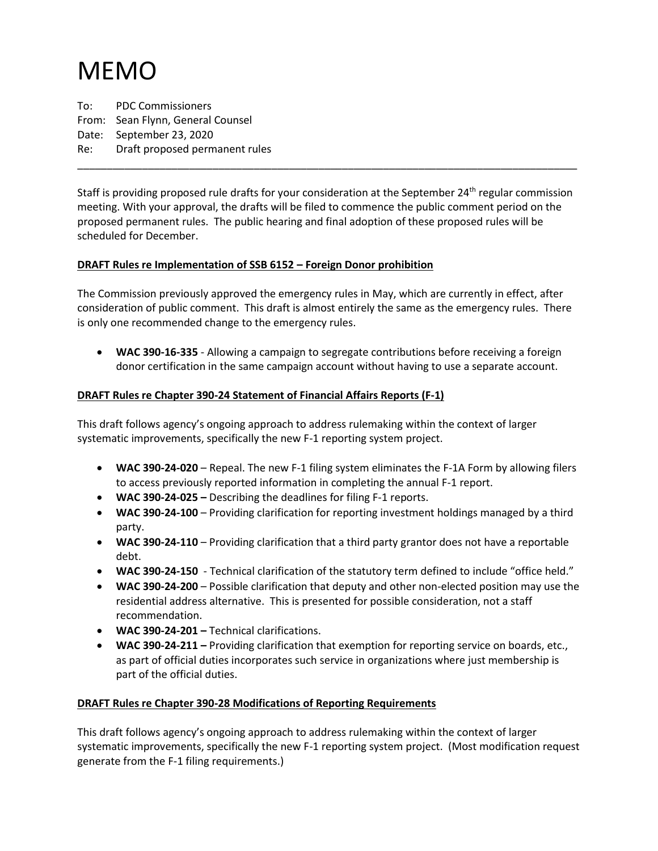## MEMO

To: PDC Commissioners From: Sean Flynn, General Counsel Date: September 23, 2020 Re: Draft proposed permanent rules

Staff is providing proposed rule drafts for your consideration at the September 24<sup>th</sup> regular commission meeting. With your approval, the drafts will be filed to commence the public comment period on the proposed permanent rules. The public hearing and final adoption of these proposed rules will be scheduled for December.

\_\_\_\_\_\_\_\_\_\_\_\_\_\_\_\_\_\_\_\_\_\_\_\_\_\_\_\_\_\_\_\_\_\_\_\_\_\_\_\_\_\_\_\_\_\_\_\_\_\_\_\_\_\_\_\_\_\_\_\_\_\_\_\_\_\_\_\_\_\_\_\_\_\_\_\_\_\_\_\_\_\_\_\_\_

## **DRAFT Rules re Implementation of SSB 6152 – Foreign Donor prohibition**

The Commission previously approved the emergency rules in May, which are currently in effect, after consideration of public comment. This draft is almost entirely the same as the emergency rules. There is only one recommended change to the emergency rules.

• **WAC 390-16-335** - Allowing a campaign to segregate contributions before receiving a foreign donor certification in the same campaign account without having to use a separate account.

## **DRAFT Rules re Chapter 390-24 Statement of Financial Affairs Reports (F-1)**

This draft follows agency's ongoing approach to address rulemaking within the context of larger systematic improvements, specifically the new F-1 reporting system project.

- **WAC 390-24-020** Repeal. The new F-1 filing system eliminates the F-1A Form by allowing filers to access previously reported information in completing the annual F-1 report.
- **WAC 390-24-025 –** Describing the deadlines for filing F-1 reports.
- **WAC 390-24-100** Providing clarification for reporting investment holdings managed by a third party.
- **WAC 390-24-110** Providing clarification that a third party grantor does not have a reportable debt.
- **WAC 390-24-150**  Technical clarification of the statutory term defined to include "office held."
- **WAC 390-24-200** Possible clarification that deputy and other non-elected position may use the residential address alternative. This is presented for possible consideration, not a staff recommendation.
- **WAC 390-24-201 –** Technical clarifications.
- **WAC 390-24-211 –** Providing clarification that exemption for reporting service on boards, etc., as part of official duties incorporates such service in organizations where just membership is part of the official duties.

## **DRAFT Rules re Chapter 390-28 Modifications of Reporting Requirements**

This draft follows agency's ongoing approach to address rulemaking within the context of larger systematic improvements, specifically the new F-1 reporting system project. (Most modification request generate from the F-1 filing requirements.)